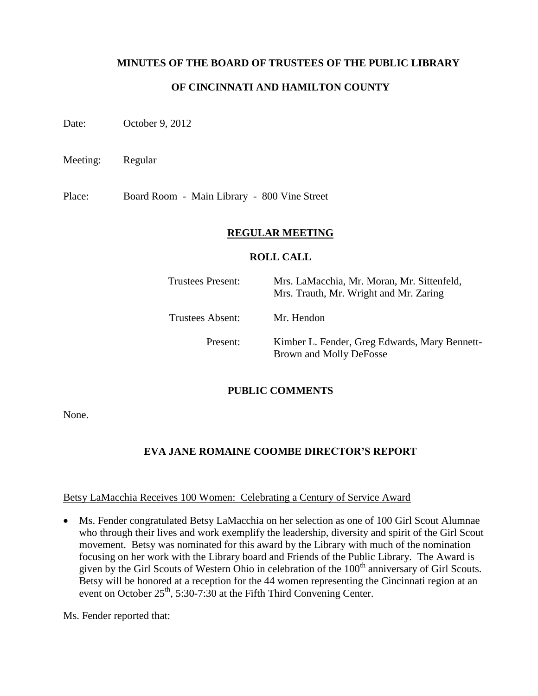## **MINUTES OF THE BOARD OF TRUSTEES OF THE PUBLIC LIBRARY**

## **OF CINCINNATI AND HAMILTON COUNTY**

Date: October 9, 2012

Meeting: Regular

Place: Board Room - Main Library - 800 Vine Street

### **REGULAR MEETING**

### **ROLL CALL**

| Trustees Present: | Mrs. LaMacchia, Mr. Moran, Mr. Sittenfeld,<br>Mrs. Trauth, Mr. Wright and Mr. Zaring |
|-------------------|--------------------------------------------------------------------------------------|
| Trustees Absent:  | Mr. Hendon                                                                           |
| Present:          | Kimber L. Fender, Greg Edwards, Mary Bennett-<br>Brown and Molly DeFosse             |

## **PUBLIC COMMENTS**

None.

# **EVA JANE ROMAINE COOMBE DIRECTOR'S REPORT**

#### Betsy LaMacchia Receives 100 Women: Celebrating a Century of Service Award

 Ms. Fender congratulated Betsy LaMacchia on her selection as one of 100 Girl Scout Alumnae who through their lives and work exemplify the leadership, diversity and spirit of the Girl Scout movement. Betsy was nominated for this award by the Library with much of the nomination focusing on her work with the Library board and Friends of the Public Library. The Award is given by the Girl Scouts of Western Ohio in celebration of the 100<sup>th</sup> anniversary of Girl Scouts. Betsy will be honored at a reception for the 44 women representing the Cincinnati region at an event on October  $25<sup>th</sup>$ , 5:30-7:30 at the Fifth Third Convening Center.

Ms. Fender reported that: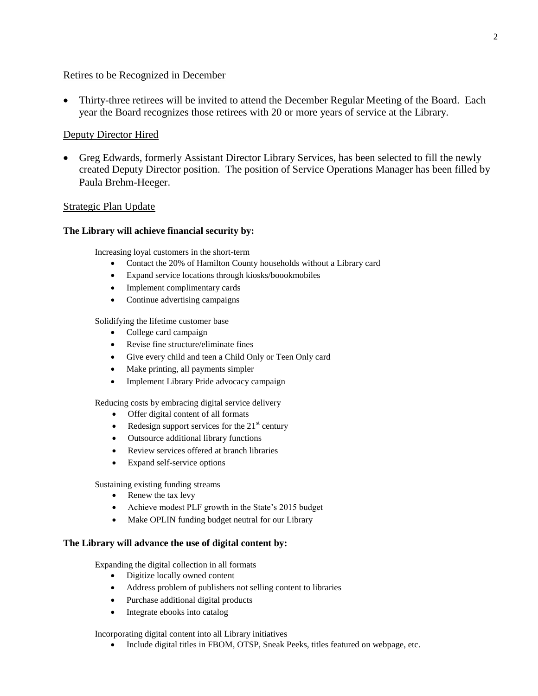### Retires to be Recognized in December

 Thirty-three retirees will be invited to attend the December Regular Meeting of the Board. Each year the Board recognizes those retirees with 20 or more years of service at the Library.

### Deputy Director Hired

 Greg Edwards, formerly Assistant Director Library Services, has been selected to fill the newly created Deputy Director position. The position of Service Operations Manager has been filled by Paula Brehm-Heeger.

### Strategic Plan Update

#### **The Library will achieve financial security by:**

Increasing loyal customers in the short-term

- Contact the 20% of Hamilton County households without a Library card
- Expand service locations through kiosks/boookmobiles
- Implement complimentary cards
- Continue advertising campaigns

Solidifying the lifetime customer base

- College card campaign
- Revise fine structure/eliminate fines
- Give every child and teen a Child Only or Teen Only card
- Make printing, all payments simpler
- Implement Library Pride advocacy campaign

Reducing costs by embracing digital service delivery

- Offer digital content of all formats
- Redesign support services for the  $21<sup>st</sup>$  century
- Outsource additional library functions
- Review services offered at branch libraries
- Expand self-service options

Sustaining existing funding streams

- Renew the tax levy
- Achieve modest PLF growth in the State's 2015 budget
- Make OPLIN funding budget neutral for our Library

#### **The Library will advance the use of digital content by:**

Expanding the digital collection in all formats

- Digitize locally owned content
- Address problem of publishers not selling content to libraries
- Purchase additional digital products
- Integrate ebooks into catalog

Incorporating digital content into all Library initiatives

• Include digital titles in FBOM, OTSP, Sneak Peeks, titles featured on webpage, etc.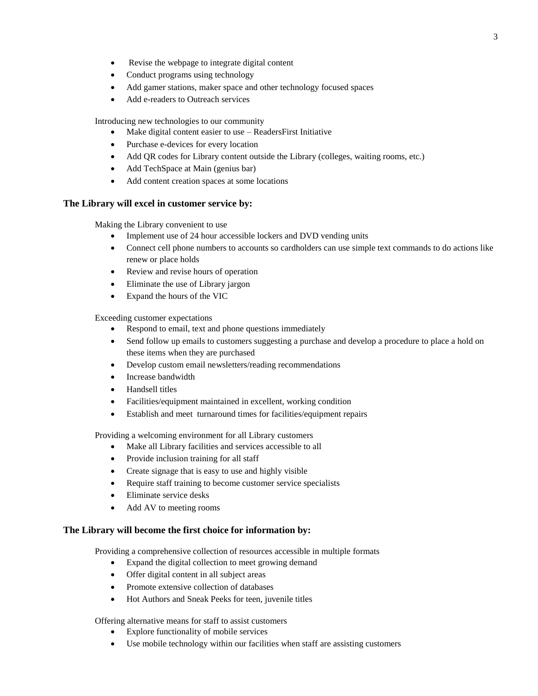- Revise the webpage to integrate digital content
- Conduct programs using technology
- Add gamer stations, maker space and other technology focused spaces
- Add e-readers to Outreach services

Introducing new technologies to our community

- Make digital content easier to use ReadersFirst Initiative
- Purchase e-devices for every location
- Add QR codes for Library content outside the Library (colleges, waiting rooms, etc.)
- Add TechSpace at Main (genius bar)
- Add content creation spaces at some locations

#### **The Library will excel in customer service by:**

Making the Library convenient to use

- Implement use of 24 hour accessible lockers and DVD vending units
- Connect cell phone numbers to accounts so cardholders can use simple text commands to do actions like renew or place holds
- Review and revise hours of operation
- Eliminate the use of Library jargon
- Expand the hours of the VIC

Exceeding customer expectations

- Respond to email, text and phone questions immediately
- Send follow up emails to customers suggesting a purchase and develop a procedure to place a hold on these items when they are purchased
- Develop custom email newsletters/reading recommendations
- Increase bandwidth
- Handsell titles
- Facilities/equipment maintained in excellent, working condition
- Establish and meet turnaround times for facilities/equipment repairs

Providing a welcoming environment for all Library customers

- Make all Library facilities and services accessible to all
- Provide inclusion training for all staff
- Create signage that is easy to use and highly visible
- Require staff training to become customer service specialists
- Eliminate service desks
- Add AV to meeting rooms

#### **The Library will become the first choice for information by:**

Providing a comprehensive collection of resources accessible in multiple formats

- Expand the digital collection to meet growing demand
- Offer digital content in all subject areas
- Promote extensive collection of databases
- Hot Authors and Sneak Peeks for teen, juvenile titles

Offering alternative means for staff to assist customers

- Explore functionality of mobile services
- Use mobile technology within our facilities when staff are assisting customers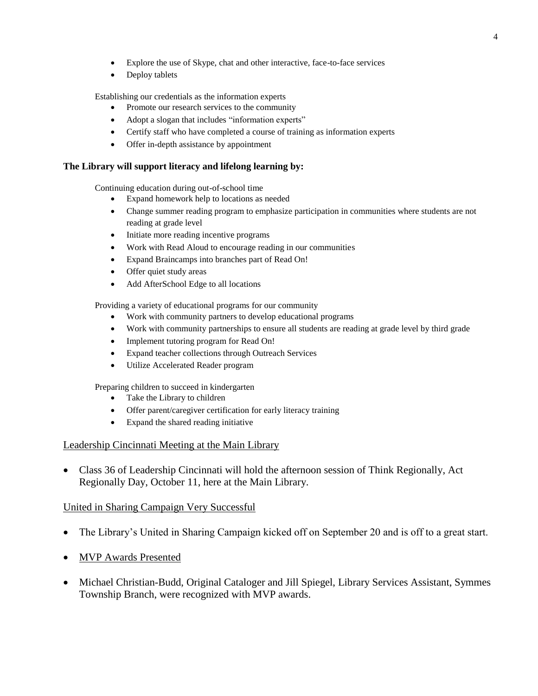- Explore the use of Skype, chat and other interactive, face-to-face services
- Deploy tablets

Establishing our credentials as the information experts

- Promote our research services to the community
- Adopt a slogan that includes "information experts"
- Certify staff who have completed a course of training as information experts
- Offer in-depth assistance by appointment

#### **The Library will support literacy and lifelong learning by:**

Continuing education during out-of-school time

- Expand homework help to locations as needed
- Change summer reading program to emphasize participation in communities where students are not reading at grade level
- Initiate more reading incentive programs
- Work with Read Aloud to encourage reading in our communities
- Expand Braincamps into branches part of Read On!
- Offer quiet study areas
- Add AfterSchool Edge to all locations

Providing a variety of educational programs for our community

- Work with community partners to develop educational programs
- Work with community partnerships to ensure all students are reading at grade level by third grade
- Implement tutoring program for Read On!
- Expand teacher collections through Outreach Services
- Utilize Accelerated Reader program

Preparing children to succeed in kindergarten

- Take the Library to children
- Offer parent/caregiver certification for early literacy training
- Expand the shared reading initiative

#### Leadership Cincinnati Meeting at the Main Library

• Class 36 of Leadership Cincinnati will hold the afternoon session of Think Regionally, Act Regionally Day, October 11, here at the Main Library.

#### United in Sharing Campaign Very Successful

- The Library's United in Sharing Campaign kicked off on September 20 and is off to a great start.
- MVP Awards Presented
- Michael Christian-Budd, Original Cataloger and Jill Spiegel, Library Services Assistant, Symmes Township Branch, were recognized with MVP awards.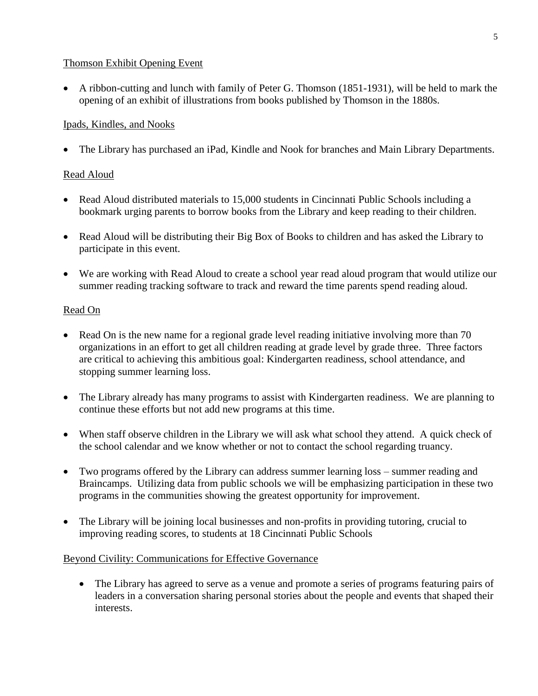## Thomson Exhibit Opening Event

 A ribbon-cutting and lunch with family of Peter G. Thomson (1851-1931), will be held to mark the opening of an exhibit of illustrations from books published by Thomson in the 1880s.

## Ipads, Kindles, and Nooks

The Library has purchased an iPad, Kindle and Nook for branches and Main Library Departments.

## Read Aloud

- Read Aloud distributed materials to 15,000 students in Cincinnati Public Schools including a bookmark urging parents to borrow books from the Library and keep reading to their children.
- Read Aloud will be distributing their Big Box of Books to children and has asked the Library to participate in this event.
- We are working with Read Aloud to create a school year read aloud program that would utilize our summer reading tracking software to track and reward the time parents spend reading aloud.

## Read On

- Read On is the new name for a regional grade level reading initiative involving more than 70 organizations in an effort to get all children reading at grade level by grade three. Three factors are critical to achieving this ambitious goal: Kindergarten readiness, school attendance, and stopping summer learning loss.
- The Library already has many programs to assist with Kindergarten readiness. We are planning to continue these efforts but not add new programs at this time.
- When staff observe children in the Library we will ask what school they attend. A quick check of the school calendar and we know whether or not to contact the school regarding truancy.
- Two programs offered by the Library can address summer learning loss summer reading and Braincamps. Utilizing data from public schools we will be emphasizing participation in these two programs in the communities showing the greatest opportunity for improvement.
- The Library will be joining local businesses and non-profits in providing tutoring, crucial to improving reading scores, to students at 18 Cincinnati Public Schools

## Beyond Civility: Communications for Effective Governance

 The Library has agreed to serve as a venue and promote a series of programs featuring pairs of leaders in a conversation sharing personal stories about the people and events that shaped their interests.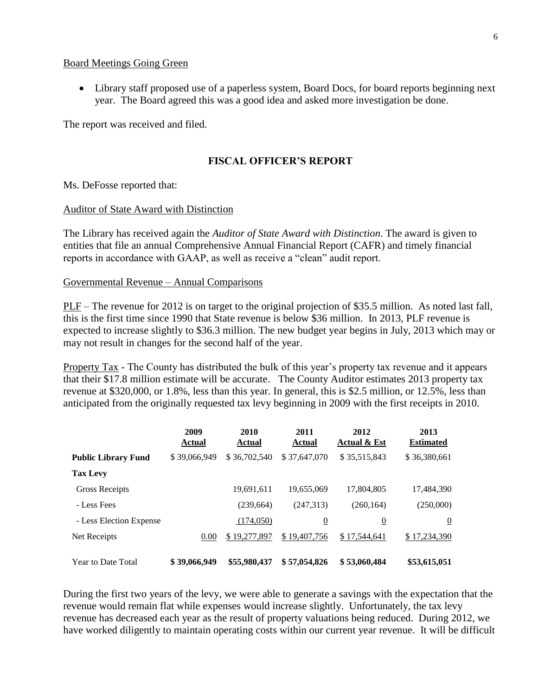#### Board Meetings Going Green

 Library staff proposed use of a paperless system, Board Docs, for board reports beginning next year. The Board agreed this was a good idea and asked more investigation be done.

The report was received and filed.

### **FISCAL OFFICER'S REPORT**

Ms. DeFosse reported that:

#### Auditor of State Award with Distinction

The Library has received again the *Auditor of State Award with Distinction*. The award is given to entities that file an annual Comprehensive Annual Financial Report (CAFR) and timely financial reports in accordance with GAAP, as well as receive a "clean" audit report.

#### Governmental Revenue – Annual Comparisons

PLF – The revenue for 2012 is on target to the original projection of \$35.5 million. As noted last fall, this is the first time since 1990 that State revenue is below \$36 million. In 2013, PLF revenue is expected to increase slightly to \$36.3 million. The new budget year begins in July, 2013 which may or may not result in changes for the second half of the year.

Property Tax - The County has distributed the bulk of this year's property tax revenue and it appears that their \$17.8 million estimate will be accurate. The County Auditor estimates 2013 property tax revenue at \$320,000, or 1.8%, less than this year. In general, this is \$2.5 million, or 12.5%, less than anticipated from the originally requested tax levy beginning in 2009 with the first receipts in 2010.

|                            | 2009<br><b>Actual</b> | 2010<br><b>Actual</b> | 2011<br><b>Actual</b> | 2012<br><b>Actual &amp; Est</b> | 2013<br><b>Estimated</b> |
|----------------------------|-----------------------|-----------------------|-----------------------|---------------------------------|--------------------------|
| <b>Public Library Fund</b> | \$39,066,949          | \$36,702,540          | \$37,647,070          | \$35,515,843                    | \$36,380,661             |
| <b>Tax Levy</b>            |                       |                       |                       |                                 |                          |
| <b>Gross Receipts</b>      |                       | 19,691,611            | 19,655,069            | 17,804,805                      | 17,484,390               |
| - Less Fees                |                       | (239, 664)            | (247,313)             | (260, 164)                      | (250,000)                |
| - Less Election Expense    |                       | (174,050)             | $\overline{0}$        | $\overline{0}$                  | $\overline{0}$           |
| Net Receipts               | 0.00                  | \$19,277,897          | \$19,407,756          | \$17.544.641                    | \$17,234,390             |
| Year to Date Total         | \$39,066,949          | \$55,980,437          | \$57,054,826          | \$53,060,484                    | \$53,615,051             |

During the first two years of the levy, we were able to generate a savings with the expectation that the revenue would remain flat while expenses would increase slightly. Unfortunately, the tax levy revenue has decreased each year as the result of property valuations being reduced. During 2012, we have worked diligently to maintain operating costs within our current year revenue. It will be difficult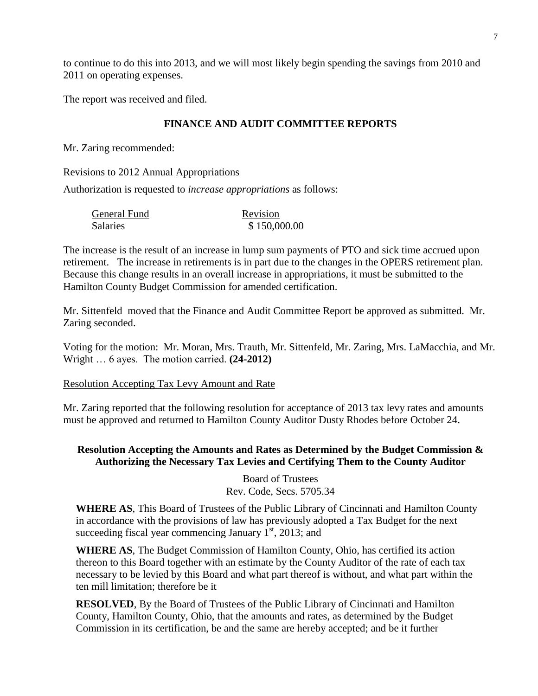to continue to do this into 2013, and we will most likely begin spending the savings from 2010 and 2011 on operating expenses.

The report was received and filed.

## **FINANCE AND AUDIT COMMITTEE REPORTS**

Mr. Zaring recommended:

Revisions to 2012 Annual Appropriations

Authorization is requested to *increase appropriations* as follows:

| General Fund | Revision     |
|--------------|--------------|
| Salaries     | \$150,000.00 |

The increase is the result of an increase in lump sum payments of PTO and sick time accrued upon retirement. The increase in retirements is in part due to the changes in the OPERS retirement plan. Because this change results in an overall increase in appropriations, it must be submitted to the Hamilton County Budget Commission for amended certification.

Mr. Sittenfeld moved that the Finance and Audit Committee Report be approved as submitted. Mr. Zaring seconded.

Voting for the motion: Mr. Moran, Mrs. Trauth, Mr. Sittenfeld, Mr. Zaring, Mrs. LaMacchia, and Mr. Wright … 6 ayes. The motion carried. **(24-2012)**

Resolution Accepting Tax Levy Amount and Rate

Mr. Zaring reported that the following resolution for acceptance of 2013 tax levy rates and amounts must be approved and returned to Hamilton County Auditor Dusty Rhodes before October 24.

## **Resolution Accepting the Amounts and Rates as Determined by the Budget Commission & Authorizing the Necessary Tax Levies and Certifying Them to the County Auditor**

Board of Trustees Rev. Code, Secs. 5705.34

**WHERE AS**, This Board of Trustees of the Public Library of Cincinnati and Hamilton County in accordance with the provisions of law has previously adopted a Tax Budget for the next succeeding fiscal year commencing January  $1<sup>st</sup>$ , 2013; and

**WHERE AS**, The Budget Commission of Hamilton County, Ohio, has certified its action thereon to this Board together with an estimate by the County Auditor of the rate of each tax necessary to be levied by this Board and what part thereof is without, and what part within the ten mill limitation; therefore be it

**RESOLVED**, By the Board of Trustees of the Public Library of Cincinnati and Hamilton County, Hamilton County, Ohio, that the amounts and rates, as determined by the Budget Commission in its certification, be and the same are hereby accepted; and be it further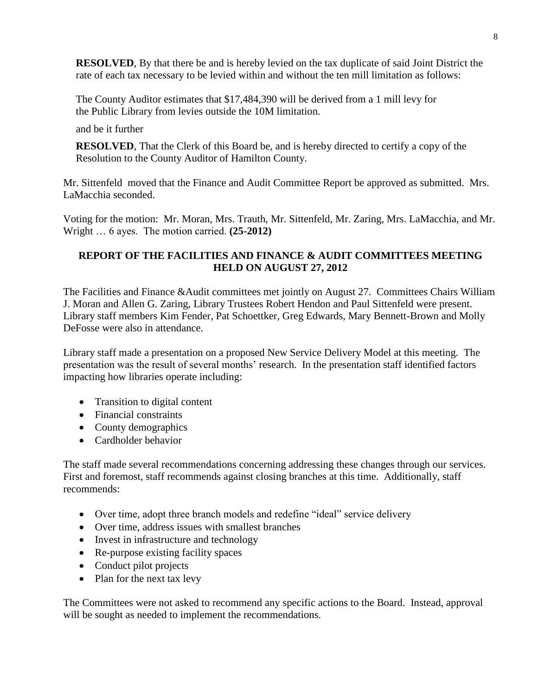**RESOLVED**, By that there be and is hereby levied on the tax duplicate of said Joint District the rate of each tax necessary to be levied within and without the ten mill limitation as follows:

The County Auditor estimates that \$17,484,390 will be derived from a 1 mill levy for the Public Library from levies outside the 10M limitation.

and be it further

**RESOLVED**, That the Clerk of this Board be, and is hereby directed to certify a copy of the Resolution to the County Auditor of Hamilton County.

Mr. Sittenfeld moved that the Finance and Audit Committee Report be approved as submitted. Mrs. LaMacchia seconded.

Voting for the motion: Mr. Moran, Mrs. Trauth, Mr. Sittenfeld, Mr. Zaring, Mrs. LaMacchia, and Mr. Wright … 6 ayes. The motion carried. **(25-2012)**

## **REPORT OF THE FACILITIES AND FINANCE & AUDIT COMMITTEES MEETING HELD ON AUGUST 27, 2012**

The Facilities and Finance &Audit committees met jointly on August 27. Committees Chairs William J. Moran and Allen G. Zaring, Library Trustees Robert Hendon and Paul Sittenfeld were present. Library staff members Kim Fender, Pat Schoettker, Greg Edwards, Mary Bennett-Brown and Molly DeFosse were also in attendance.

Library staff made a presentation on a proposed New Service Delivery Model at this meeting. The presentation was the result of several months' research. In the presentation staff identified factors impacting how libraries operate including:

- Transition to digital content
- Financial constraints
- County demographics
- Cardholder behavior

The staff made several recommendations concerning addressing these changes through our services. First and foremost, staff recommends against closing branches at this time. Additionally, staff recommends:

- Over time, adopt three branch models and redefine "ideal" service delivery
- Over time, address issues with smallest branches
- Invest in infrastructure and technology
- Re-purpose existing facility spaces
- Conduct pilot projects
- Plan for the next tax levy

The Committees were not asked to recommend any specific actions to the Board. Instead, approval will be sought as needed to implement the recommendations.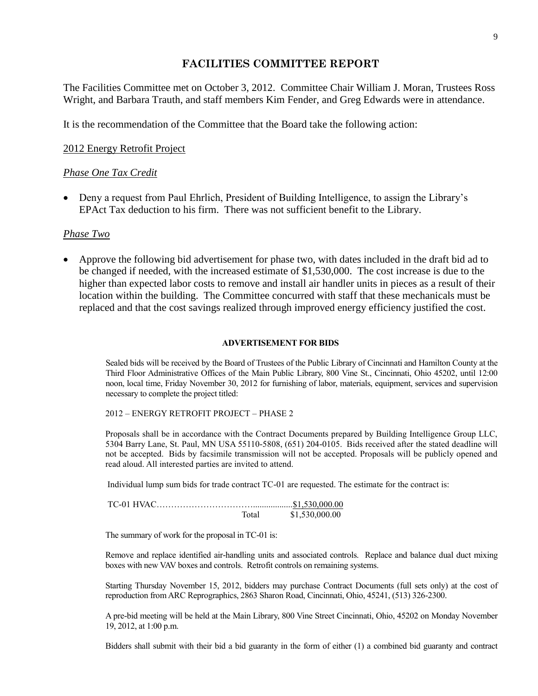## **FACILITIES COMMITTEE REPORT**

The Facilities Committee met on October 3, 2012. Committee Chair William J. Moran, Trustees Ross Wright, and Barbara Trauth, and staff members Kim Fender, and Greg Edwards were in attendance.

It is the recommendation of the Committee that the Board take the following action:

### 2012 Energy Retrofit Project

### *Phase One Tax Credit*

• Deny a request from Paul Ehrlich, President of Building Intelligence, to assign the Library's EPAct Tax deduction to his firm. There was not sufficient benefit to the Library.

#### *Phase Two*

 Approve the following bid advertisement for phase two, with dates included in the draft bid ad to be changed if needed, with the increased estimate of \$1,530,000. The cost increase is due to the higher than expected labor costs to remove and install air handler units in pieces as a result of their location within the building. The Committee concurred with staff that these mechanicals must be replaced and that the cost savings realized through improved energy efficiency justified the cost.

#### **ADVERTISEMENT FOR BIDS**

Sealed bids will be received by the Board of Trustees of the Public Library of Cincinnati and Hamilton County at the Third Floor Administrative Offices of the Main Public Library, 800 Vine St., Cincinnati, Ohio 45202, until 12:00 noon, local time, Friday November 30, 2012 for furnishing of labor, materials, equipment, services and supervision necessary to complete the project titled:

#### 2012 – ENERGY RETROFIT PROJECT – PHASE 2

Proposals shall be in accordance with the Contract Documents prepared by Building Intelligence Group LLC, 5304 Barry Lane, St. Paul, MN USA 55110-5808, (651) 204-0105. Bids received after the stated deadline will not be accepted. Bids by facsimile transmission will not be accepted. Proposals will be publicly opened and read aloud. All interested parties are invited to attend.

Individual lump sum bids for trade contract TC-01 are requested. The estimate for the contract is:

| Total | \$1,530,000.00 |
|-------|----------------|

The summary of work for the proposal in TC-01 is:

Remove and replace identified air-handling units and associated controls. Replace and balance dual duct mixing boxes with new VAV boxes and controls. Retrofit controls on remaining systems.

Starting Thursday November 15, 2012, bidders may purchase Contract Documents (full sets only) at the cost of reproduction from ARC Reprographics, 2863 Sharon Road, Cincinnati, Ohio, 45241, (513) 326-2300.

A pre-bid meeting will be held at the Main Library, 800 Vine Street Cincinnati, Ohio, 45202 on Monday November 19, 2012, at 1:00 p.m.

Bidders shall submit with their bid a bid guaranty in the form of either (1) a combined bid guaranty and contract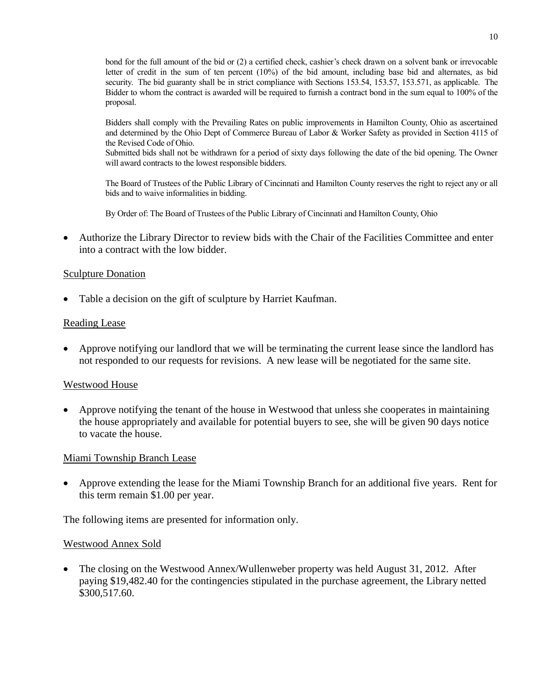bond for the full amount of the bid or (2) a certified check, cashier's check drawn on a solvent bank or irrevocable letter of credit in the sum of ten percent (10%) of the bid amount, including base bid and alternates, as bid security. The bid guaranty shall be in strict compliance with Sections 153.54, 153.57, 153.571, as applicable. The Bidder to whom the contract is awarded will be required to furnish a contract bond in the sum equal to 100% of the proposal.

Bidders shall comply with the Prevailing Rates on public improvements in Hamilton County, Ohio as ascertained and determined by the Ohio Dept of Commerce Bureau of Labor & Worker Safety as provided in Section 4115 of the Revised Code of Ohio.

Submitted bids shall not be withdrawn for a period of sixty days following the date of the bid opening. The Owner will award contracts to the lowest responsible bidders.

The Board of Trustees of the Public Library of Cincinnati and Hamilton County reserves the right to reject any or all bids and to waive informalities in bidding.

By Order of: The Board of Trustees of the Public Library of Cincinnati and Hamilton County, Ohio

 Authorize the Library Director to review bids with the Chair of the Facilities Committee and enter into a contract with the low bidder.

### Sculpture Donation

Table a decision on the gift of sculpture by Harriet Kaufman.

#### Reading Lease

 Approve notifying our landlord that we will be terminating the current lease since the landlord has not responded to our requests for revisions. A new lease will be negotiated for the same site.

#### Westwood House

 Approve notifying the tenant of the house in Westwood that unless she cooperates in maintaining the house appropriately and available for potential buyers to see, she will be given 90 days notice to vacate the house.

#### Miami Township Branch Lease

 Approve extending the lease for the Miami Township Branch for an additional five years. Rent for this term remain \$1.00 per year.

The following items are presented for information only.

#### Westwood Annex Sold

• The closing on the Westwood Annex/Wullenweber property was held August 31, 2012. After paying \$19,482.40 for the contingencies stipulated in the purchase agreement, the Library netted \$300,517.60.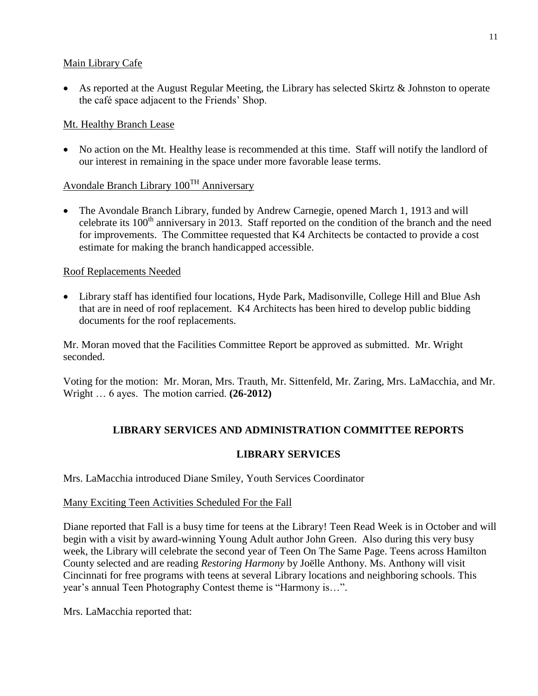## Main Library Cafe

 As reported at the August Regular Meeting, the Library has selected Skirtz & Johnston to operate the café space adjacent to the Friends' Shop.

## Mt. Healthy Branch Lease

• No action on the Mt. Healthy lease is recommended at this time. Staff will notify the landlord of our interest in remaining in the space under more favorable lease terms.

# Avondale Branch Library  $100<sup>TH</sup>$  Anniversary

• The Avondale Branch Library, funded by Andrew Carnegie, opened March 1, 1913 and will celebrate its  $100<sup>th</sup>$  anniversary in 2013. Staff reported on the condition of the branch and the need for improvements. The Committee requested that K4 Architects be contacted to provide a cost estimate for making the branch handicapped accessible.

## Roof Replacements Needed

 Library staff has identified four locations, Hyde Park, Madisonville, College Hill and Blue Ash that are in need of roof replacement. K4 Architects has been hired to develop public bidding documents for the roof replacements.

Mr. Moran moved that the Facilities Committee Report be approved as submitted. Mr. Wright seconded.

Voting for the motion: Mr. Moran, Mrs. Trauth, Mr. Sittenfeld, Mr. Zaring, Mrs. LaMacchia, and Mr. Wright … 6 ayes. The motion carried. **(26-2012)**

# **LIBRARY SERVICES AND ADMINISTRATION COMMITTEE REPORTS**

## **LIBRARY SERVICES**

Mrs. LaMacchia introduced Diane Smiley, Youth Services Coordinator

## Many Exciting Teen Activities Scheduled For the Fall

Diane reported that Fall is a busy time for teens at the Library! Teen Read Week is in October and will begin with a visit by award-winning Young Adult author John Green. Also during this very busy week, the Library will celebrate the second year of Teen On The Same Page. Teens across Hamilton County selected and are reading *Restoring Harmony* by Joëlle Anthony. Ms. Anthony will visit Cincinnati for free programs with teens at several Library locations and neighboring schools. This year's annual Teen Photography Contest theme is "Harmony is…".

Mrs. LaMacchia reported that: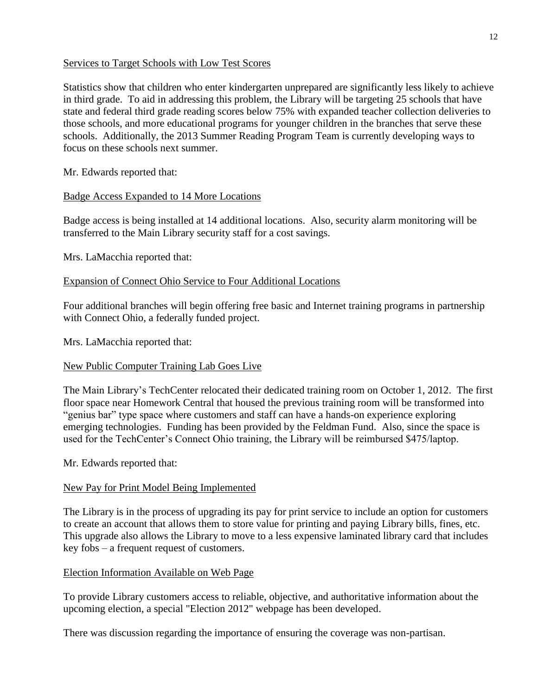## Services to Target Schools with Low Test Scores

Statistics show that children who enter kindergarten unprepared are significantly less likely to achieve in third grade. To aid in addressing this problem, the Library will be targeting 25 schools that have state and federal third grade reading scores below 75% with expanded teacher collection deliveries to those schools, and more educational programs for younger children in the branches that serve these schools. Additionally, the 2013 Summer Reading Program Team is currently developing ways to focus on these schools next summer.

Mr. Edwards reported that:

## Badge Access Expanded to 14 More Locations

Badge access is being installed at 14 additional locations. Also, security alarm monitoring will be transferred to the Main Library security staff for a cost savings.

Mrs. LaMacchia reported that:

## Expansion of Connect Ohio Service to Four Additional Locations

Four additional branches will begin offering free basic and Internet training programs in partnership with Connect Ohio, a federally funded project.

Mrs. LaMacchia reported that:

## New Public Computer Training Lab Goes Live

The Main Library's TechCenter relocated their dedicated training room on October 1, 2012. The first floor space near Homework Central that housed the previous training room will be transformed into "genius bar" type space where customers and staff can have a hands-on experience exploring emerging technologies. Funding has been provided by the Feldman Fund. Also, since the space is used for the TechCenter's Connect Ohio training, the Library will be reimbursed \$475/laptop.

Mr. Edwards reported that:

## New Pay for Print Model Being Implemented

The Library is in the process of upgrading its pay for print service to include an option for customers to create an account that allows them to store value for printing and paying Library bills, fines, etc. This upgrade also allows the Library to move to a less expensive laminated library card that includes key fobs – a frequent request of customers.

## Election Information Available on Web Page

To provide Library customers access to reliable, objective, and authoritative information about the upcoming election, a special "Election 2012" webpage has been developed.

There was discussion regarding the importance of ensuring the coverage was non-partisan.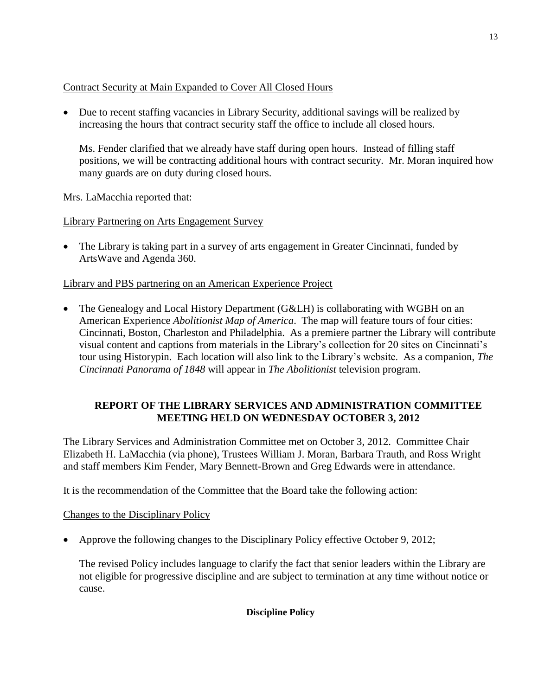## Contract Security at Main Expanded to Cover All Closed Hours

 Due to recent staffing vacancies in Library Security, additional savings will be realized by increasing the hours that contract security staff the office to include all closed hours.

Ms. Fender clarified that we already have staff during open hours. Instead of filling staff positions, we will be contracting additional hours with contract security. Mr. Moran inquired how many guards are on duty during closed hours.

Mrs. LaMacchia reported that:

Library Partnering on Arts Engagement Survey

• The Library is taking part in a survey of arts engagement in Greater Cincinnati, funded by ArtsWave and Agenda 360.

# Library and PBS partnering on an American Experience Project

• The Genealogy and Local History Department (G&LH) is collaborating with WGBH on an American Experience *Abolitionist Map of America*. The map will feature tours of four cities: Cincinnati, Boston, Charleston and Philadelphia. As a premiere partner the Library will contribute visual content and captions from materials in the Library's collection for 20 sites on Cincinnati's tour using Historypin. Each location will also link to the Library's website. As a companion, *The Cincinnati Panorama of 1848* will appear in *The Abolitionist* television program.

# **REPORT OF THE LIBRARY SERVICES AND ADMINISTRATION COMMITTEE MEETING HELD ON WEDNESDAY OCTOBER 3, 2012**

The Library Services and Administration Committee met on October 3, 2012. Committee Chair Elizabeth H. LaMacchia (via phone), Trustees William J. Moran, Barbara Trauth, and Ross Wright and staff members Kim Fender, Mary Bennett-Brown and Greg Edwards were in attendance.

It is the recommendation of the Committee that the Board take the following action:

# Changes to the Disciplinary Policy

• Approve the following changes to the Disciplinary Policy effective October 9, 2012;

The revised Policy includes language to clarify the fact that senior leaders within the Library are not eligible for progressive discipline and are subject to termination at any time without notice or cause.

## **Discipline Policy**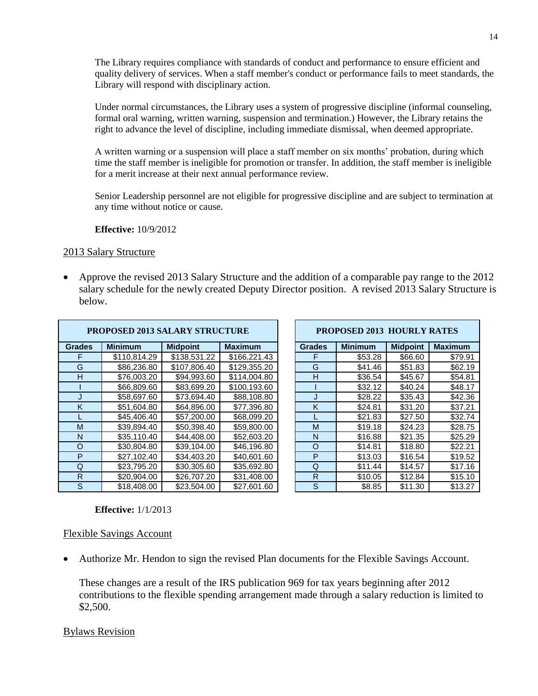The Library requires compliance with standards of conduct and performance to ensure efficient and quality delivery of services. When a staff member's conduct or performance fails to meet standards, the Library will respond with disciplinary action.

Under normal circumstances, the Library uses a system of progressive discipline (informal counseling, formal oral warning, written warning, suspension and termination.) However, the Library retains the right to advance the level of discipline, including immediate dismissal, when deemed appropriate.

A written warning or a suspension will place a staff member on six months' probation, during which time the staff member is ineligible for promotion or transfer. In addition, the staff member is ineligible for a merit increase at their next annual performance review.

Senior Leadership personnel are not eligible for progressive discipline and are subject to termination at any time without notice or cause.

**Effective:** 10/9/2012

### 2013 Salary Structure

 Approve the revised 2013 Salary Structure and the addition of a comparable pay range to the 2012 salary schedule for the newly created Deputy Director position. A revised 2013 Salary Structure is below.

| <b>PROPOSED 2013 SALARY STRUCTURE</b> |                |                 | <b>PROPOSED 2013 HOURLY RATES</b> |               |                |                 |                |
|---------------------------------------|----------------|-----------------|-----------------------------------|---------------|----------------|-----------------|----------------|
| <b>Grades</b>                         | <b>Minimum</b> | <b>Midpoint</b> | <b>Maximum</b>                    | <b>Grades</b> | <b>Minimum</b> | <b>Midpoint</b> | <b>Maximum</b> |
|                                       | \$110,814.29   | \$138,531.22    | \$166,221.43                      | F             | \$53.28        | \$66.60         | \$79.91        |
| G                                     | \$86,236.80    | \$107,806.40    | \$129,355.20                      | G             | \$41.46        | \$51.83         | \$62.19        |
| н                                     | \$76,003.20    | \$94,993.60     | \$114,004.80                      | H             | \$36.54        | \$45.67         | \$54.81        |
|                                       | \$66,809.60    | \$83,699.20     | \$100,193.60                      |               | \$32.12        | \$40.24         | \$48.17        |
|                                       | \$58,697.60    | \$73,694.40     | \$88,108.80                       |               | \$28.22        | \$35.43         | \$42.36        |
| K                                     | \$51,604.80    | \$64,896.00     | \$77,396.80                       | K             | \$24.81        | \$31.20         | \$37.21        |
|                                       | \$45,406.40    | \$57,200.00     | \$68,099.20                       |               | \$21.83        | \$27.50         | \$32.74        |
| M                                     | \$39,894.40    | \$50.398.40     | \$59,800.00                       | M             | \$19.18        | \$24.23         | \$28.75        |
| N                                     | \$35,110.40    | \$44,408.00     | \$52,603.20                       | N             | \$16.88        | \$21.35         | \$25.29        |
| $\Omega$                              | \$30,804.80    | \$39,104.00     | \$46,196.80                       | O             | \$14.81        | \$18.80         | \$22.21        |
| P                                     | \$27,102.40    | \$34,403.20     | \$40,601.60                       | P             | \$13.03        | \$16.54         | \$19.52        |
| Q                                     | \$23,795.20    | \$30,305.60     | \$35,692.80                       | Q             | \$11.44        | \$14.57         | \$17.16        |
| R                                     | \$20,904.00    | \$26,707.20     | \$31,408.00                       | R             | \$10.05        | \$12.84         | \$15.10        |
| S                                     | \$18,408.00    | \$23,504.00     | \$27,601.60                       | S             | \$8.85         | \$11.30         | \$13.27        |

| <b>PROPOSED 2013 HOURLY RATES</b> |                |                 |                |  |  |  |  |
|-----------------------------------|----------------|-----------------|----------------|--|--|--|--|
| <b>Grades</b>                     | <b>Minimum</b> | <b>Midpoint</b> | <b>Maximum</b> |  |  |  |  |
| F                                 | \$53.28        | \$66.60         | \$79.91        |  |  |  |  |
| G                                 | \$41.46        | \$51.83         | \$62.19        |  |  |  |  |
| н                                 | \$36.54        | \$45.67         | \$54.81        |  |  |  |  |
|                                   | \$32.12        | \$40.24         | \$48.17        |  |  |  |  |
| J                                 | \$28.22        | \$35.43         | \$42.36        |  |  |  |  |
| K                                 | \$24.81        | \$31.20         | \$37.21        |  |  |  |  |
| L                                 | \$21.83        | \$27.50         | \$32.74        |  |  |  |  |
| M                                 | \$19.18        | \$24.23         | \$28.75        |  |  |  |  |
| N                                 | \$16.88        | \$21.35         | \$25.29        |  |  |  |  |
| O                                 | \$14.81        | \$18.80         | \$22.21        |  |  |  |  |
| P                                 | \$13.03        | \$16.54         | \$19.52        |  |  |  |  |
| Q                                 | \$11.44        | \$14.57         | \$17.16        |  |  |  |  |
| R                                 | \$10.05        | \$12.84         | \$15.10        |  |  |  |  |
| S                                 | \$8.85         | \$11.30         | \$13.27        |  |  |  |  |

### **Effective:** 1/1/2013

### Flexible Savings Account

Authorize Mr. Hendon to sign the revised Plan documents for the Flexible Savings Account.

These changes are a result of the IRS publication 969 for tax years beginning after 2012 contributions to the flexible spending arrangement made through a salary reduction is limited to \$2,500.

### Bylaws Revision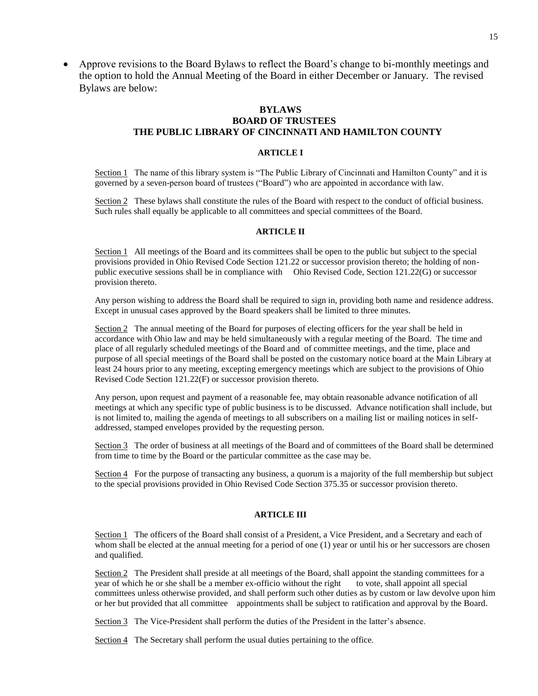Approve revisions to the Board Bylaws to reflect the Board's change to bi-monthly meetings and the option to hold the Annual Meeting of the Board in either December or January. The revised Bylaws are below:

#### **BYLAWS BOARD OF TRUSTEES THE PUBLIC LIBRARY OF CINCINNATI AND HAMILTON COUNTY**

#### **ARTICLE I**

Section 1 The name of this library system is "The Public Library of Cincinnati and Hamilton County" and it is governed by a seven-person board of trustees ("Board") who are appointed in accordance with law.

Section 2 These bylaws shall constitute the rules of the Board with respect to the conduct of official business. Such rules shall equally be applicable to all committees and special committees of the Board.

#### **ARTICLE II**

Section 1 All meetings of the Board and its committees shall be open to the public but subject to the special provisions provided in Ohio Revised Code Section 121.22 or successor provision thereto; the holding of nonpublic executive sessions shall be in compliance with Ohio Revised Code, Section 121.22(G) or successor provision thereto.

Any person wishing to address the Board shall be required to sign in, providing both name and residence address. Except in unusual cases approved by the Board speakers shall be limited to three minutes.

Section 2 The annual meeting of the Board for purposes of electing officers for the year shall be held in accordance with Ohio law and may be held simultaneously with a regular meeting of the Board. The time and place of all regularly scheduled meetings of the Board and of committee meetings, and the time, place and purpose of all special meetings of the Board shall be posted on the customary notice board at the Main Library at least 24 hours prior to any meeting, excepting emergency meetings which are subject to the provisions of Ohio Revised Code Section 121.22(F) or successor provision thereto.

Any person, upon request and payment of a reasonable fee, may obtain reasonable advance notification of all meetings at which any specific type of public business is to be discussed. Advance notification shall include, but is not limited to, mailing the agenda of meetings to all subscribers on a mailing list or mailing notices in selfaddressed, stamped envelopes provided by the requesting person.

Section 3 The order of business at all meetings of the Board and of committees of the Board shall be determined from time to time by the Board or the particular committee as the case may be.

Section 4 For the purpose of transacting any business, a quorum is a majority of the full membership but subject to the special provisions provided in Ohio Revised Code Section 375.35 or successor provision thereto.

#### **ARTICLE III**

Section 1 The officers of the Board shall consist of a President, a Vice President, and a Secretary and each of whom shall be elected at the annual meeting for a period of one (1) year or until his or her successors are chosen and qualified.

Section 2 The President shall preside at all meetings of the Board, shall appoint the standing committees for a year of which he or she shall be a member ex-officio without the right to vote, shall appoint all special committees unless otherwise provided, and shall perform such other duties as by custom or law devolve upon him or her but provided that all committee appointments shall be subject to ratification and approval by the Board.

Section 3 The Vice-President shall perform the duties of the President in the latter's absence.

Section 4 The Secretary shall perform the usual duties pertaining to the office.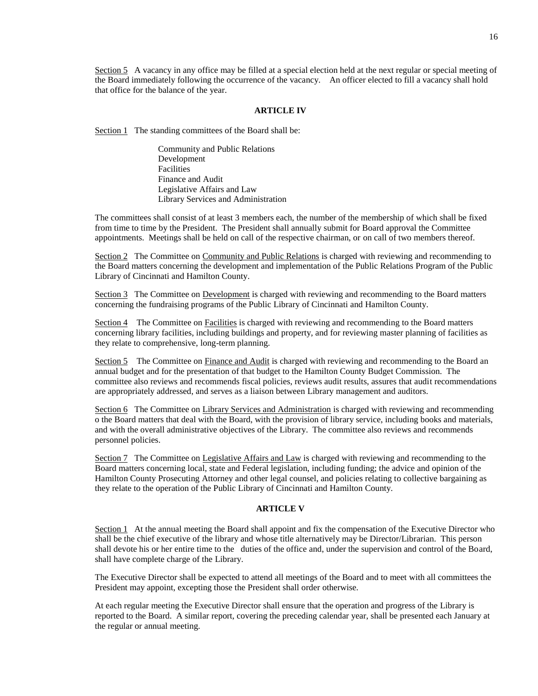Section 5 A vacancy in any office may be filled at a special election held at the next regular or special meeting of the Board immediately following the occurrence of the vacancy. An officer elected to fill a vacancy shall hold that office for the balance of the year.

#### **ARTICLE IV**

Section 1 The standing committees of the Board shall be:

Community and Public Relations Development Facilities Finance and Audit Legislative Affairs and Law Library Services and Administration

The committees shall consist of at least 3 members each, the number of the membership of which shall be fixed from time to time by the President. The President shall annually submit for Board approval the Committee appointments. Meetings shall be held on call of the respective chairman, or on call of two members thereof.

Section 2 The Committee on Community and Public Relations is charged with reviewing and recommending to the Board matters concerning the development and implementation of the Public Relations Program of the Public Library of Cincinnati and Hamilton County.

Section 3 The Committee on Development is charged with reviewing and recommending to the Board matters concerning the fundraising programs of the Public Library of Cincinnati and Hamilton County.

Section 4 The Committee on Facilities is charged with reviewing and recommending to the Board matters concerning library facilities, including buildings and property, and for reviewing master planning of facilities as they relate to comprehensive, long-term planning.

Section 5 The Committee on Finance and Audit is charged with reviewing and recommending to the Board an annual budget and for the presentation of that budget to the Hamilton County Budget Commission. The committee also reviews and recommends fiscal policies, reviews audit results, assures that audit recommendations are appropriately addressed, and serves as a liaison between Library management and auditors.

Section 6 The Committee on Library Services and Administration is charged with reviewing and recommending o the Board matters that deal with the Board, with the provision of library service, including books and materials, and with the overall administrative objectives of the Library. The committee also reviews and recommends personnel policies.

Section 7 The Committee on Legislative Affairs and Law is charged with reviewing and recommending to the Board matters concerning local, state and Federal legislation, including funding; the advice and opinion of the Hamilton County Prosecuting Attorney and other legal counsel, and policies relating to collective bargaining as they relate to the operation of the Public Library of Cincinnati and Hamilton County.

#### **ARTICLE V**

Section 1 At the annual meeting the Board shall appoint and fix the compensation of the Executive Director who shall be the chief executive of the library and whose title alternatively may be Director/Librarian. This person shall devote his or her entire time to the duties of the office and, under the supervision and control of the Board, shall have complete charge of the Library.

The Executive Director shall be expected to attend all meetings of the Board and to meet with all committees the President may appoint, excepting those the President shall order otherwise.

At each regular meeting the Executive Director shall ensure that the operation and progress of the Library is reported to the Board. A similar report, covering the preceding calendar year, shall be presented each January at the regular or annual meeting.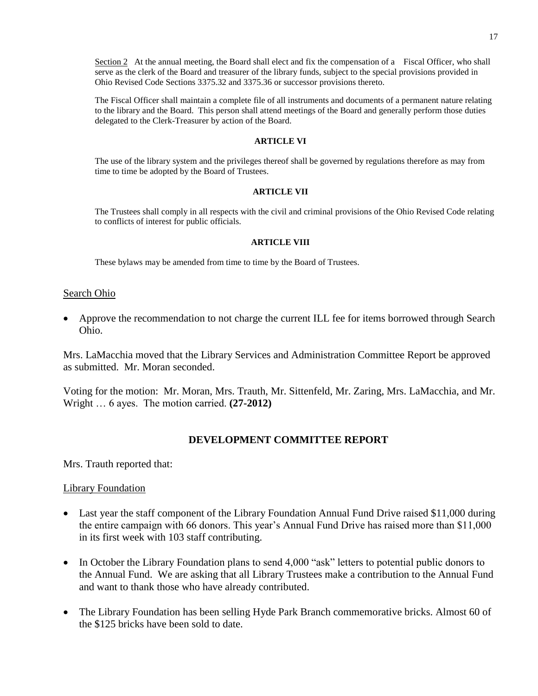Section 2 At the annual meeting, the Board shall elect and fix the compensation of a Fiscal Officer, who shall serve as the clerk of the Board and treasurer of the library funds, subject to the special provisions provided in Ohio Revised Code Sections 3375.32 and 3375.36 or successor provisions thereto.

The Fiscal Officer shall maintain a complete file of all instruments and documents of a permanent nature relating to the library and the Board. This person shall attend meetings of the Board and generally perform those duties delegated to the Clerk-Treasurer by action of the Board.

#### **ARTICLE VI**

The use of the library system and the privileges thereof shall be governed by regulations therefore as may from time to time be adopted by the Board of Trustees.

#### **ARTICLE VII**

The Trustees shall comply in all respects with the civil and criminal provisions of the Ohio Revised Code relating to conflicts of interest for public officials.

#### **ARTICLE VIII**

These bylaws may be amended from time to time by the Board of Trustees.

#### Search Ohio

 Approve the recommendation to not charge the current ILL fee for items borrowed through Search Ohio.

Mrs. LaMacchia moved that the Library Services and Administration Committee Report be approved as submitted. Mr. Moran seconded.

Voting for the motion: Mr. Moran, Mrs. Trauth, Mr. Sittenfeld, Mr. Zaring, Mrs. LaMacchia, and Mr. Wright … 6 ayes. The motion carried. **(27-2012)**

### **DEVELOPMENT COMMITTEE REPORT**

Mrs. Trauth reported that:

#### Library Foundation

- Last year the staff component of the Library Foundation Annual Fund Drive raised \$11,000 during the entire campaign with 66 donors. This year's Annual Fund Drive has raised more than \$11,000 in its first week with 103 staff contributing.
- In October the Library Foundation plans to send 4,000 "ask" letters to potential public donors to the Annual Fund. We are asking that all Library Trustees make a contribution to the Annual Fund and want to thank those who have already contributed.
- The Library Foundation has been selling Hyde Park Branch commemorative bricks. Almost 60 of the \$125 bricks have been sold to date.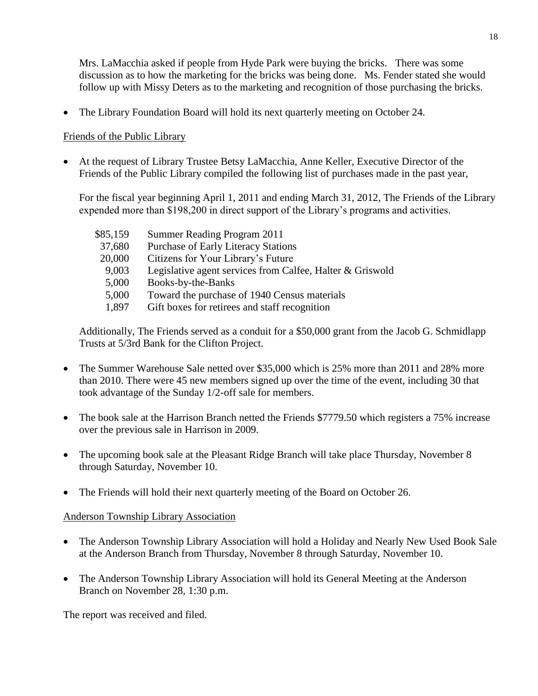Mrs. LaMacchia asked if people from Hyde Park were buying the bricks. There was some discussion as to how the marketing for the bricks was being done. Ms. Fender stated she would follow up with Missy Deters as to the marketing and recognition of those purchasing the bricks.

The Library Foundation Board will hold its next quarterly meeting on October 24.

## Friends of the Public Library

 At the request of Library Trustee Betsy LaMacchia, Anne Keller, Executive Director of the Friends of the Public Library compiled the following list of purchases made in the past year,

For the fiscal year beginning April 1, 2011 and ending March 31, 2012, The Friends of the Library expended more than \$198,200 in direct support of the Library's programs and activities.

| \$85,159 | Summer Reading Program 2011                               |
|----------|-----------------------------------------------------------|
| 37,680   | Purchase of Early Literacy Stations                       |
| 20,000   | Citizens for Your Library's Future                        |
| 9,003    | Legislative agent services from Calfee, Halter & Griswold |
| 5,000    | Books-by-the-Banks                                        |
| 5,000    | Toward the purchase of 1940 Census materials              |
| 1,897    | Gift boxes for retirees and staff recognition             |

Additionally, The Friends served as a conduit for a \$50,000 grant from the Jacob G. Schmidlapp Trusts at 5/3rd Bank for the Clifton Project.

- The Summer Warehouse Sale netted over \$35,000 which is 25% more than 2011 and 28% more than 2010. There were 45 new members signed up over the time of the event, including 30 that took advantage of the Sunday 1/2-off sale for members.
- The book sale at the Harrison Branch netted the Friends \$7779.50 which registers a 75% increase over the previous sale in Harrison in 2009.
- The upcoming book sale at the Pleasant Ridge Branch will take place Thursday, November 8 through Saturday, November 10.
- The Friends will hold their next quarterly meeting of the Board on October 26.

## Anderson Township Library Association

- The Anderson Township Library Association will hold a Holiday and Nearly New Used Book Sale at the Anderson Branch from Thursday, November 8 through Saturday, November 10.
- The Anderson Township Library Association will hold its General Meeting at the Anderson Branch on November 28, 1:30 p.m.

The report was received and filed.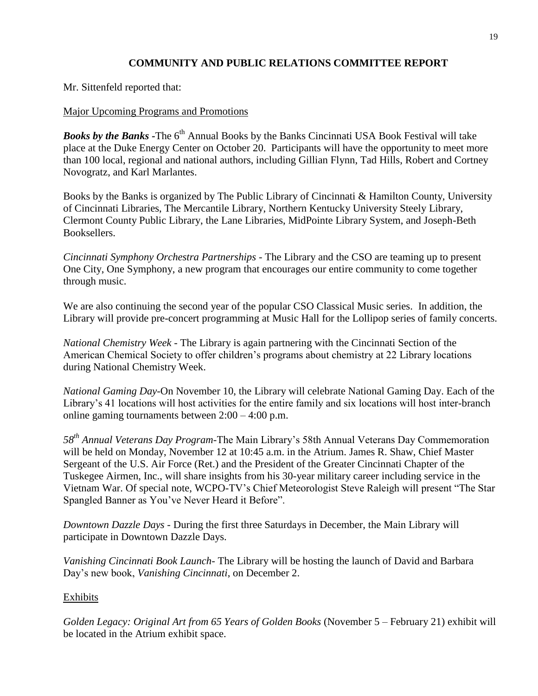# **COMMUNITY AND PUBLIC RELATIONS COMMITTEE REPORT**

Mr. Sittenfeld reported that:

## Major Upcoming Programs and Promotions

**Books by the Banks -**The 6<sup>th</sup> Annual Books by the Banks Cincinnati USA Book Festival will take place at the Duke Energy Center on October 20. Participants will have the opportunity to meet more than 100 local, regional and national authors, including Gillian Flynn, Tad Hills, Robert and Cortney Novogratz, and Karl Marlantes.

Books by the Banks is organized by The Public Library of Cincinnati & Hamilton County, University of Cincinnati Libraries, The Mercantile Library, Northern Kentucky University Steely Library, Clermont County Public Library, the Lane Libraries, MidPointe Library System, and Joseph-Beth Booksellers.

*Cincinnati Symphony Orchestra Partnerships -* The Library and the CSO are teaming up to present One City, One Symphony, a new program that encourages our entire community to come together through music.

We are also continuing the second year of the popular CSO Classical Music series. In addition, the Library will provide pre-concert programming at Music Hall for the Lollipop series of family concerts.

*National Chemistry Week -* The Library is again partnering with the Cincinnati Section of the American Chemical Society to offer children's programs about chemistry at 22 Library locations during National Chemistry Week.

*National Gaming Day-*On November 10, the Library will celebrate National Gaming Day. Each of the Library's 41 locations will host activities for the entire family and six locations will host inter-branch online gaming tournaments between 2:00 – 4:00 p.m.

*58th Annual Veterans Day Program-*The Main Library's 58th Annual Veterans Day Commemoration will be held on Monday, November 12 at 10:45 a.m. in the Atrium. James R. Shaw, Chief Master Sergeant of the U.S. Air Force (Ret.) and the President of the Greater Cincinnati Chapter of the Tuskegee Airmen, Inc., will share insights from his 30-year military career including service in the Vietnam War. Of special note, WCPO-TV's Chief Meteorologist Steve Raleigh will present "The Star Spangled Banner as You've Never Heard it Before".

*Downtown Dazzle Days -* During the first three Saturdays in December, the Main Library will participate in Downtown Dazzle Days.

*Vanishing Cincinnati Book Launch-* The Library will be hosting the launch of David and Barbara Day's new book, *Vanishing Cincinnati*, on December 2.

### Exhibits

*Golden Legacy: Original Art from 65 Years of Golden Books* (November 5 – February 21) exhibit will be located in the Atrium exhibit space.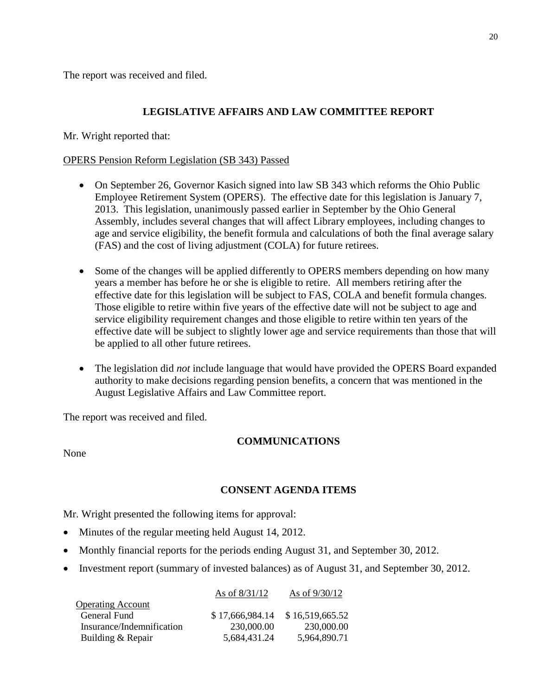The report was received and filed.

## **LEGISLATIVE AFFAIRS AND LAW COMMITTEE REPORT**

Mr. Wright reported that:

## OPERS Pension Reform Legislation (SB 343) Passed

- On September 26, Governor Kasich signed into law SB 343 which reforms the Ohio Public Employee Retirement System (OPERS). The effective date for this legislation is January 7, 2013. This legislation, unanimously passed earlier in September by the Ohio General Assembly, includes several changes that will affect Library employees, including changes to age and service eligibility, the benefit formula and calculations of both the final average salary (FAS) and the cost of living adjustment (COLA) for future retirees.
- Some of the changes will be applied differently to OPERS members depending on how many years a member has before he or she is eligible to retire. All members retiring after the effective date for this legislation will be subject to FAS, COLA and benefit formula changes. Those eligible to retire within five years of the effective date will not be subject to age and service eligibility requirement changes and those eligible to retire within ten years of the effective date will be subject to slightly lower age and service requirements than those that will be applied to all other future retirees.
- The legislation did *not* include language that would have provided the OPERS Board expanded authority to make decisions regarding pension benefits, a concern that was mentioned in the August Legislative Affairs and Law Committee report.

The report was received and filed.

## **COMMUNICATIONS**

None

## **CONSENT AGENDA ITEMS**

Mr. Wright presented the following items for approval:

- Minutes of the regular meeting held August 14, 2012.
- Monthly financial reports for the periods ending August 31, and September 30, 2012.
- Investment report (summary of invested balances) as of August 31, and September 30, 2012.

|                           | As of $8/31/12$ | As of $9/30/12$ |
|---------------------------|-----------------|-----------------|
| <b>Operating Account</b>  |                 |                 |
| General Fund              | \$17,666,984.14 | \$16,519,665.52 |
| Insurance/Indemnification | 230,000.00      | 230,000.00      |
| Building & Repair         | 5,684,431.24    | 5,964,890.71    |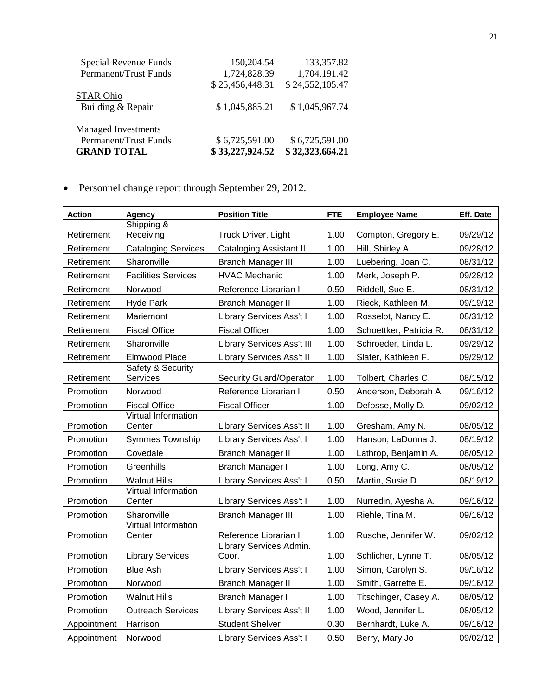| Permanent/Trust Funds<br><b>GRAND TOTAL</b> | \$6,725,591.00<br>\$33,227,924.52 | \$6,725,591.00<br>\$32,323,664.21 |
|---------------------------------------------|-----------------------------------|-----------------------------------|
| <b>Managed Investments</b>                  |                                   |                                   |
| Building & Repair                           | \$1,045,885.21                    | \$1,045,967.74                    |
| <b>STAR Ohio</b>                            | \$25,456,448.31                   | \$24,552,105.47                   |
| Permanent/Trust Funds                       | 1,724,828.39                      | 1,704,191.42                      |
| Special Revenue Funds                       | 150,204.54                        | 133,357.82                        |

Personnel change report through September 29, 2012.

| <b>Action</b> | Agency                               | <b>Position Title</b>             | <b>FTE</b> | <b>Employee Name</b>    | Eff. Date |
|---------------|--------------------------------------|-----------------------------------|------------|-------------------------|-----------|
|               | Shipping &                           |                                   |            |                         |           |
| Retirement    | Receiving                            | Truck Driver, Light               | 1.00       | Compton, Gregory E.     | 09/29/12  |
| Retirement    | <b>Cataloging Services</b>           | <b>Cataloging Assistant II</b>    | 1.00       | Hill, Shirley A.        | 09/28/12  |
| Retirement    | Sharonville                          | <b>Branch Manager III</b>         | 1.00       | Luebering, Joan C.      | 08/31/12  |
| Retirement    | <b>Facilities Services</b>           | <b>HVAC Mechanic</b>              | 1.00       | Merk, Joseph P.         | 09/28/12  |
| Retirement    | Norwood                              | Reference Librarian I             | 0.50       | Riddell, Sue E.         | 08/31/12  |
| Retirement    | <b>Hyde Park</b>                     | <b>Branch Manager II</b>          | 1.00       | Rieck, Kathleen M.      | 09/19/12  |
| Retirement    | Mariemont                            | <b>Library Services Ass't I</b>   | 1.00       | Rosselot, Nancy E.      | 08/31/12  |
| Retirement    | <b>Fiscal Office</b>                 | <b>Fiscal Officer</b>             | 1.00       | Schoettker, Patricia R. | 08/31/12  |
| Retirement    | Sharonville                          | <b>Library Services Ass't III</b> | 1.00       | Schroeder, Linda L.     | 09/29/12  |
| Retirement    | Elmwood Place                        | Library Services Ass't II         | 1.00       | Slater, Kathleen F.     | 09/29/12  |
| Retirement    | Safety & Security<br>Services        | <b>Security Guard/Operator</b>    | 1.00       | Tolbert, Charles C.     | 08/15/12  |
| Promotion     | Norwood                              | Reference Librarian I             | 0.50       | Anderson, Deborah A.    | 09/16/12  |
| Promotion     | <b>Fiscal Office</b>                 | <b>Fiscal Officer</b>             | 1.00       | Defosse, Molly D.       | 09/02/12  |
|               | <b>Virtual Information</b>           |                                   |            |                         |           |
| Promotion     | Center                               | Library Services Ass't II         | 1.00       | Gresham, Amy N.         | 08/05/12  |
| Promotion     | Symmes Township                      | Library Services Ass't I          | 1.00       | Hanson, LaDonna J.      | 08/19/12  |
| Promotion     | Covedale                             | <b>Branch Manager II</b>          | 1.00       | Lathrop, Benjamin A.    | 08/05/12  |
| Promotion     | Greenhills                           | Branch Manager I                  | 1.00       | Long, Amy C.            | 08/05/12  |
| Promotion     | <b>Walnut Hills</b>                  | <b>Library Services Ass't I</b>   | 0.50       | Martin, Susie D.        | 08/19/12  |
| Promotion     | <b>Virtual Information</b><br>Center | <b>Library Services Ass't I</b>   | 1.00       | Nurredin, Ayesha A.     | 09/16/12  |
| Promotion     | Sharonville                          | <b>Branch Manager III</b>         | 1.00       | Riehle, Tina M.         | 09/16/12  |
|               | <b>Virtual Information</b>           |                                   |            |                         |           |
| Promotion     | Center                               | Reference Librarian I             | 1.00       | Rusche, Jennifer W.     | 09/02/12  |
|               |                                      | Library Services Admin.           |            |                         |           |
| Promotion     | <b>Library Services</b>              | Coor.                             | 1.00       | Schlicher, Lynne T.     | 08/05/12  |
| Promotion     | <b>Blue Ash</b>                      | Library Services Ass't I          | 1.00       | Simon, Carolyn S.       | 09/16/12  |
| Promotion     | Norwood                              | <b>Branch Manager II</b>          | 1.00       | Smith, Garrette E.      | 09/16/12  |
| Promotion     | <b>Walnut Hills</b>                  | <b>Branch Manager I</b>           | 1.00       | Titschinger, Casey A.   | 08/05/12  |
| Promotion     | <b>Outreach Services</b>             | Library Services Ass't II         | 1.00       | Wood, Jennifer L.       | 08/05/12  |
| Appointment   | Harrison                             | <b>Student Shelver</b>            | 0.30       | Bernhardt, Luke A.      | 09/16/12  |
| Appointment   | Norwood                              | <b>Library Services Ass't I</b>   | 0.50       | Berry, Mary Jo          | 09/02/12  |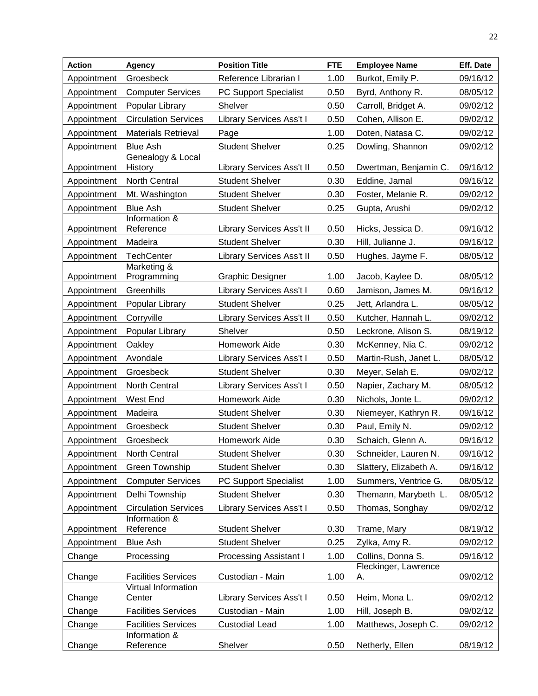| <b>Action</b> | Agency                        | <b>Position Title</b>            | <b>FTE</b> | <b>Employee Name</b>       | Eff. Date |
|---------------|-------------------------------|----------------------------------|------------|----------------------------|-----------|
| Appointment   | Groesbeck                     | Reference Librarian I            | 1.00       | Burkot, Emily P.           | 09/16/12  |
| Appointment   | <b>Computer Services</b>      | PC Support Specialist            | 0.50       | Byrd, Anthony R.           | 08/05/12  |
| Appointment   | Popular Library               | Shelver                          | 0.50       | Carroll, Bridget A.        | 09/02/12  |
| Appointment   | <b>Circulation Services</b>   | Library Services Ass't I         | 0.50       | Cohen, Allison E.          | 09/02/12  |
| Appointment   | <b>Materials Retrieval</b>    | Page                             | 1.00       | Doten, Natasa C.           | 09/02/12  |
| Appointment   | <b>Blue Ash</b>               | <b>Student Shelver</b>           | 0.25       | Dowling, Shannon           | 09/02/12  |
| Appointment   | Genealogy & Local<br>History  | <b>Library Services Ass't II</b> | 0.50       | Dwertman, Benjamin C.      | 09/16/12  |
| Appointment   | North Central                 | <b>Student Shelver</b>           | 0.30       | Eddine, Jamal              | 09/16/12  |
| Appointment   | Mt. Washington                | <b>Student Shelver</b>           | 0.30       | Foster, Melanie R.         | 09/02/12  |
| Appointment   | <b>Blue Ash</b>               | <b>Student Shelver</b>           | 0.25       | Gupta, Arushi              | 09/02/12  |
| Appointment   | Information &<br>Reference    | <b>Library Services Ass't II</b> | 0.50       | Hicks, Jessica D.          | 09/16/12  |
| Appointment   | Madeira                       | <b>Student Shelver</b>           | 0.30       | Hill, Julianne J.          | 09/16/12  |
| Appointment   | <b>TechCenter</b>             | Library Services Ass't II        | 0.50       | Hughes, Jayme F.           | 08/05/12  |
| Appointment   | Marketing &<br>Programming    | <b>Graphic Designer</b>          | 1.00       | Jacob, Kaylee D.           | 08/05/12  |
| Appointment   | Greenhills                    | <b>Library Services Ass't I</b>  | 0.60       | Jamison, James M.          | 09/16/12  |
| Appointment   | Popular Library               | <b>Student Shelver</b>           | 0.25       | Jett, Arlandra L.          | 08/05/12  |
| Appointment   | Corryville                    | <b>Library Services Ass't II</b> | 0.50       | Kutcher, Hannah L.         | 09/02/12  |
| Appointment   | Popular Library               | Shelver                          | 0.50       | Leckrone, Alison S.        | 08/19/12  |
| Appointment   | Oakley                        | Homework Aide                    | 0.30       | McKenney, Nia C.           | 09/02/12  |
| Appointment   | Avondale                      | Library Services Ass't I         | 0.50       | Martin-Rush, Janet L.      | 08/05/12  |
| Appointment   | Groesbeck                     | <b>Student Shelver</b>           | 0.30       | Meyer, Selah E.            | 09/02/12  |
| Appointment   | North Central                 | <b>Library Services Ass't I</b>  | 0.50       | Napier, Zachary M.         | 08/05/12  |
| Appointment   | West End                      | Homework Aide                    | 0.30       | Nichols, Jonte L.          | 09/02/12  |
| Appointment   | Madeira                       | <b>Student Shelver</b>           | 0.30       | Niemeyer, Kathryn R.       | 09/16/12  |
| Appointment   | Groesbeck                     | <b>Student Shelver</b>           | 0.30       | Paul, Emily N.             | 09/02/12  |
| Appointment   | Groesbeck                     | Homework Aide                    | 0.30       | Schaich, Glenn A.          | 09/16/12  |
| Appointment   | North Central                 | <b>Student Shelver</b>           | 0.30       | Schneider, Lauren N.       | 09/16/12  |
| Appointment   | Green Township                | <b>Student Shelver</b>           | 0.30       | Slattery, Elizabeth A.     | 09/16/12  |
| Appointment   | <b>Computer Services</b>      | <b>PC Support Specialist</b>     | 1.00       | Summers, Ventrice G.       | 08/05/12  |
| Appointment   | Delhi Township                | <b>Student Shelver</b>           | 0.30       | Themann, Marybeth L.       | 08/05/12  |
| Appointment   | <b>Circulation Services</b>   | Library Services Ass't I         | 0.50       | Thomas, Songhay            | 09/02/12  |
| Appointment   | Information &<br>Reference    | <b>Student Shelver</b>           | 0.30       | Trame, Mary                | 08/19/12  |
| Appointment   | <b>Blue Ash</b>               | <b>Student Shelver</b>           | 0.25       | Zylka, Amy R.              | 09/02/12  |
| Change        | Processing                    | <b>Processing Assistant I</b>    | 1.00       | Collins, Donna S.          | 09/16/12  |
| Change        | <b>Facilities Services</b>    | Custodian - Main                 | 1.00       | Fleckinger, Lawrence<br>А. | 09/02/12  |
| Change        | Virtual Information<br>Center | Library Services Ass't I         | 0.50       | Heim, Mona L.              | 09/02/12  |
| Change        | <b>Facilities Services</b>    | Custodian - Main                 | 1.00       | Hill, Joseph B.            | 09/02/12  |
| Change        | <b>Facilities Services</b>    | <b>Custodial Lead</b>            | 1.00       | Matthews, Joseph C.        | 09/02/12  |
|               | Information &                 |                                  |            |                            |           |
| Change        | Reference                     | Shelver                          | 0.50       | Netherly, Ellen            | 08/19/12  |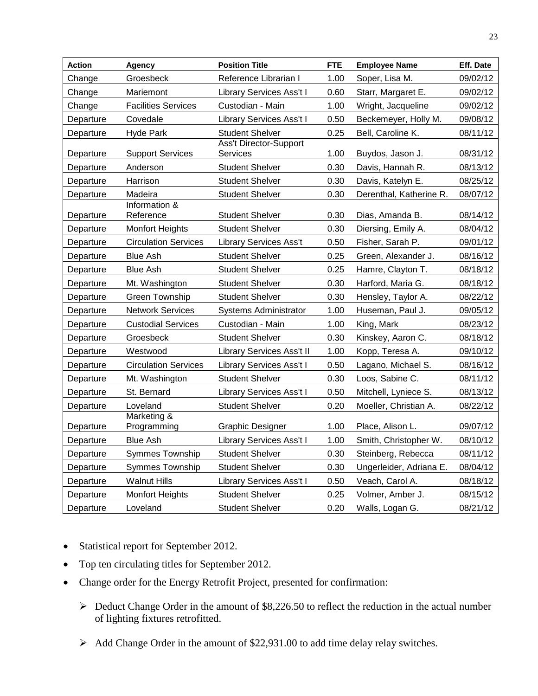| Action                 | Agency                      | <b>Position Title</b>              | <b>FTE</b> | <b>Employee Name</b>    | Eff. Date |
|------------------------|-----------------------------|------------------------------------|------------|-------------------------|-----------|
| Change                 | Groesbeck                   | Reference Librarian I              | 1.00       | Soper, Lisa M.          | 09/02/12  |
| Change                 | Mariemont                   | Library Services Ass't I           | 0.60       | Starr, Margaret E.      | 09/02/12  |
| Change                 | <b>Facilities Services</b>  | Custodian - Main                   | 1.00       | Wright, Jacqueline      | 09/02/12  |
| Departure              | Covedale                    | <b>Library Services Ass't I</b>    | 0.50       | Beckemeyer, Holly M.    | 09/08/12  |
| Departure              | <b>Hyde Park</b>            | <b>Student Shelver</b>             | 0.25       | Bell, Caroline K.       | 08/11/12  |
|                        | <b>Support Services</b>     | <b>Ass't Director-Support</b>      | 1.00       | Buydos, Jason J.        | 08/31/12  |
| Departure<br>Departure | Anderson                    | Services<br><b>Student Shelver</b> | 0.30       | Davis, Hannah R.        | 08/13/12  |
| Departure              | Harrison                    | <b>Student Shelver</b>             | 0.30       | Davis, Katelyn E.       | 08/25/12  |
| Departure              | Madeira                     | <b>Student Shelver</b>             | 0.30       | Derenthal, Katherine R. | 08/07/12  |
|                        | Information &               |                                    |            |                         |           |
| Departure              | Reference                   | <b>Student Shelver</b>             | 0.30       | Dias, Amanda B.         | 08/14/12  |
| Departure              | <b>Monfort Heights</b>      | <b>Student Shelver</b>             | 0.30       | Diersing, Emily A.      | 08/04/12  |
| Departure              | <b>Circulation Services</b> | <b>Library Services Ass't</b>      | 0.50       | Fisher, Sarah P.        | 09/01/12  |
| Departure              | <b>Blue Ash</b>             | <b>Student Shelver</b>             | 0.25       | Green, Alexander J.     | 08/16/12  |
| Departure              | Blue Ash                    | <b>Student Shelver</b>             | 0.25       | Hamre, Clayton T.       | 08/18/12  |
| Departure              | Mt. Washington              | <b>Student Shelver</b>             | 0.30       | Harford, Maria G.       | 08/18/12  |
| Departure              | <b>Green Township</b>       | <b>Student Shelver</b>             | 0.30       | Hensley, Taylor A.      | 08/22/12  |
| Departure              | <b>Network Services</b>     | <b>Systems Administrator</b>       | 1.00       | Huseman, Paul J.        | 09/05/12  |
| Departure              | <b>Custodial Services</b>   | Custodian - Main                   | 1.00       | King, Mark              | 08/23/12  |
| Departure              | Groesbeck                   | <b>Student Shelver</b>             | 0.30       | Kinskey, Aaron C.       | 08/18/12  |
| Departure              | Westwood                    | <b>Library Services Ass't II</b>   | 1.00       | Kopp, Teresa A.         | 09/10/12  |
| Departure              | <b>Circulation Services</b> | Library Services Ass't I           | 0.50       | Lagano, Michael S.      | 08/16/12  |
| Departure              | Mt. Washington              | <b>Student Shelver</b>             | 0.30       | Loos, Sabine C.         | 08/11/12  |
| Departure              | St. Bernard                 | <b>Library Services Ass't I</b>    | 0.50       | Mitchell, Lyniece S.    | 08/13/12  |
| Departure              | Loveland                    | <b>Student Shelver</b>             | 0.20       | Moeller, Christian A.   | 08/22/12  |
| Departure              | Marketing &<br>Programming  | <b>Graphic Designer</b>            | 1.00       | Place, Alison L.        | 09/07/12  |
| Departure              | <b>Blue Ash</b>             | <b>Library Services Ass't I</b>    | 1.00       | Smith, Christopher W.   | 08/10/12  |
| Departure              | <b>Symmes Township</b>      | <b>Student Shelver</b>             | 0.30       | Steinberg, Rebecca      | 08/11/12  |
| Departure              | Symmes Township             | <b>Student Shelver</b>             | 0.30       | Ungerleider, Adriana E. | 08/04/12  |
| Departure              | <b>Walnut Hills</b>         | Library Services Ass't I           | 0.50       | Veach, Carol A.         | 08/18/12  |
| Departure              | <b>Monfort Heights</b>      | <b>Student Shelver</b>             | 0.25       | Volmer, Amber J.        | 08/15/12  |
| Departure              | Loveland                    | <b>Student Shelver</b>             | 0.20       | Walls, Logan G.         | 08/21/12  |

- Statistical report for September 2012.
- Top ten circulating titles for September 2012.
- Change order for the Energy Retrofit Project, presented for confirmation:
	- $\triangleright$  Deduct Change Order in the amount of \$8,226.50 to reflect the reduction in the actual number of lighting fixtures retrofitted.
	- $\triangleright$  Add Change Order in the amount of \$22,931.00 to add time delay relay switches.